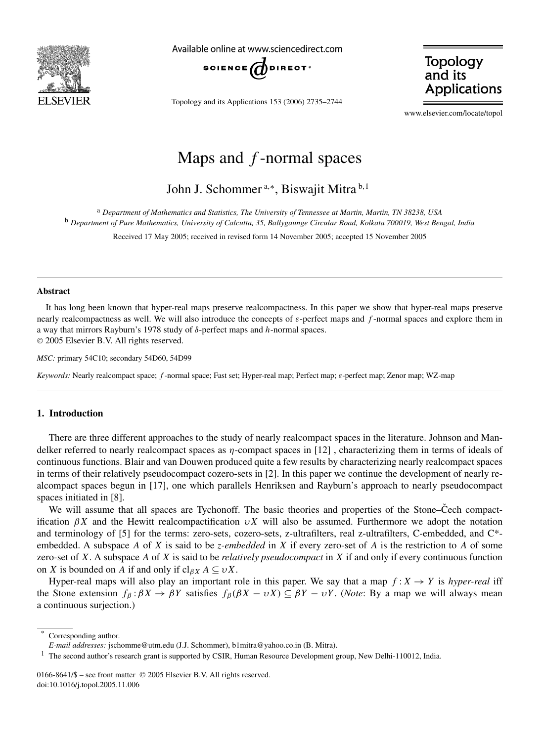

Available online at www.sciencedirect.com



Topology and its Applications 153 (2006) 2735–2744

**Topology** and its **Applications** 

www.elsevier.com/locate/topol

# Maps and *f* -normal spaces

John J. Schommer <sup>a</sup>*,*<sup>∗</sup> , Biswajit Mitra <sup>b</sup>*,*<sup>1</sup>

<sup>a</sup> *Department of Mathematics and Statistics, The University of Tennessee at Martin, Martin, TN 38238, USA* <sup>b</sup> *Department of Pure Mathematics, University of Calcutta, 35, Ballygaunge Circular Road, Kolkata 700019, West Bengal, India*

Received 17 May 2005; received in revised form 14 November 2005; accepted 15 November 2005

#### **Abstract**

It has long been known that hyper-real maps preserve realcompactness. In this paper we show that hyper-real maps preserve nearly realcompactness as well. We will also introduce the concepts of *ε*-perfect maps and *f* -normal spaces and explore them in a way that mirrors Rayburn's 1978 study of *δ*-perfect maps and *h*-normal spaces. © 2005 Elsevier B.V. All rights reserved.

*MSC:* primary 54C10; secondary 54D60, 54D99

*Keywords:* Nearly realcompact space; *f* -normal space; Fast set; Hyper-real map; Perfect map; *ε*-perfect map; Zenor map; WZ-map

## **1. Introduction**

There are three different approaches to the study of nearly realcompact spaces in the literature. Johnson and Mandelker referred to nearly realcompact spaces as *η*-compact spaces in [12] , characterizing them in terms of ideals of continuous functions. Blair and van Douwen produced quite a few results by characterizing nearly realcompact spaces in terms of their relatively pseudocompact cozero-sets in [2]. In this paper we continue the development of nearly realcompact spaces begun in [17], one which parallels Henriksen and Rayburn's approach to nearly pseudocompact spaces initiated in [8].

We will assume that all spaces are Tychonoff. The basic theories and properties of the Stone–Cech compactification *βX* and the Hewitt realcompactification *υX* will also be assumed. Furthermore we adopt the notation and terminology of [5] for the terms: zero-sets, cozero-sets, z-ultrafilters, real z-ultrafilters, C-embedded, and C\* embedded. A subspace *A* of *X* is said to be *z-embedded* in *X* if every zero-set of *A* is the restriction to *A* of some zero-set of *X*. A subspace *A* of *X* is said to be *relatively pseudocompact* in *X* if and only if every continuous function on *X* is bounded on *A* if and only if  $cl_{\beta X} A \subseteq vX$ .

Hyper-real maps will also play an important role in this paper. We say that a map  $f: X \to Y$  is *hyper-real* iff the Stone extension  $f_\beta: \beta X \to \beta Y$  satisfies  $f_\beta(\beta X - \nu X) \subseteq \beta Y - \nu Y$ . (*Note*: By a map we will always mean a continuous surjection.)

Corresponding author.

*E-mail addresses:* jschomme@utm.edu (J.J. Schommer), b1mitra@yahoo.co.in (B. Mitra).

<sup>&</sup>lt;sup>1</sup> The second author's research grant is supported by CSIR, Human Resource Development group, New Delhi-110012, India.

<sup>0166-8641/\$ –</sup> see front matter © 2005 Elsevier B.V. All rights reserved. doi:10.1016/j.topol.2005.11.006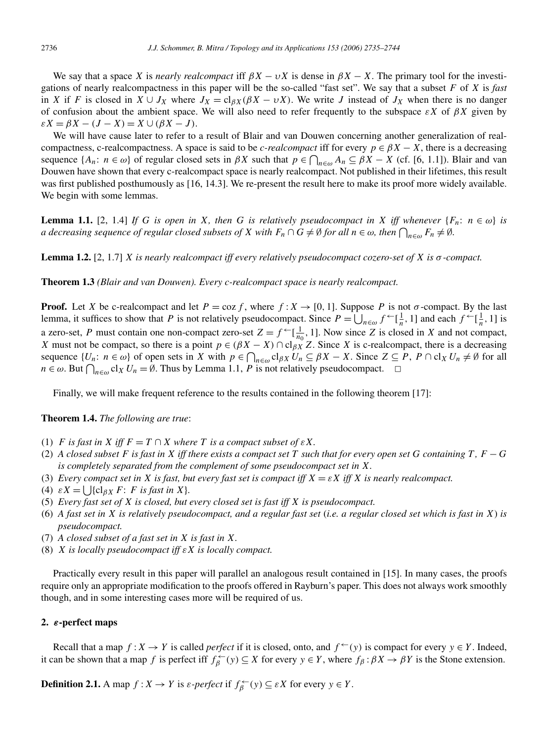We say that a space *X* is *nearly realcompact* iff  $\beta X - \nu X$  is dense in  $\beta X - X$ . The primary tool for the investigations of nearly realcompactness in this paper will be the so-called "fast set". We say that a subset *F* of *X* is *fast* in *X* if *F* is closed in  $X \cup J_X$  where  $J_X = cl_{\beta X}(\beta X - \nu X)$ . We write *J* instead of  $J_X$  when there is no danger of confusion about the ambient space. We will also need to refer frequently to the subspace *εX* of *βX* given by  $\epsilon X = \beta X - (J - X) = X \cup (\beta X - J).$ 

We will have cause later to refer to a result of Blair and van Douwen concerning another generalization of realcompactness, c-realcompactness. A space is said to be *c-realcompact* iff for every  $p \in \beta X - X$ , there is a decreasing sequence  $\{A_n: n \in \omega\}$  of regular closed sets in  $\beta X$  such that  $p \in \bigcap_{n \in \omega} A_n \subseteq \beta X - X$  (cf. [6, 1.1]). Blair and van Douwen have shown that every c-realcompact space is nearly realcompact. Not published in their lifetimes, this result was first published posthumously as [16, 14.3]. We re-present the result here to make its proof more widely available. We begin with some lemmas.

**Lemma 1.1.** [2, 1.4] *If G is open in X, then G is relatively pseudocompact in X iff whenever*  $\{F_n: n \in \omega\}$  *is a decreasing sequence of regular closed subsets of X with*  $F_n \cap G \neq \emptyset$  *for all*  $n \in \omega$ *, then*  $\bigcap_{n \in \omega} F_n \neq \emptyset$ *.* 

**Lemma 1.2.** [2, 1.7] *X is nearly realcompact iff every relatively pseudocompact cozero-set of X is σ -compact.*

**Theorem 1.3** *(Blair and van Douwen). Every c-realcompact space is nearly realcompact.*

**Proof.** Let *X* be c-realcompact and let  $P = \cos f$ , where  $f: X \to [0, 1]$ . Suppose P is not  $\sigma$ -compact. By the last lemma, it suffices to show that *P* is not relatively pseudocompact. Since  $P = \bigcup_{n \in \omega} f^{\leftarrow}[\frac{1}{n}, 1]$  and each  $f^{\leftarrow}[\frac{1}{n}, 1]$  is a zero-set, *P* must contain one non-compact zero-set  $Z = f \leftarrow [\frac{1}{n_0}, 1]$ . Now since *Z* is closed in *X* and not compact, *X* must not be compact, so there is a point  $p \in (\beta X - X) \cap \text{cl}_{\beta X} Z$ . Since *X* is c-realcompact, there is a decreasing sequence  $\{U_n: n \in \omega\}$  of open sets in *X* with  $p \in \bigcap_{n \in \omega} cl_{\beta X} U_n \subseteq \beta X - X$ . Since  $Z \subseteq P$ ,  $P \cap cl_X U_n \neq \emptyset$  for all  $n \in \omega$ . But  $\bigcap_{n \in \omega} cl_X U_n = \emptyset$ . Thus by Lemma 1.1, *P* is not relatively pseudocompact.  $\Box$ 

Finally, we will make frequent reference to the results contained in the following theorem [17]:

**Theorem 1.4.** *The following are true*:

- (1) *F is fast in X iff*  $F = T \cap X$  *where T is a compact subset of*  $\epsilon X$ *.*
- (2) *A closed subset F is fast in X iff there exists a compact set T such that for every open set G containing T , F* − *G is completely separated from the complement of some pseudocompact set in X.*
- (3) *Every compact set in X is fast, but every fast set is compact iff*  $X = \varepsilon X$  *iff X is nearly realcompact.*
- (4)  $\epsilon X = \iint \left\{ c \right\}_{\beta X} F$ : *F is fast in X* }.
- (5) *Every fast set of X is closed, but every closed set is fast iff X is pseudocompact.*
- (6) *A fast set in X is relatively pseudocompact, and a regular fast set* (*i.e. a regular closed set which is fast in X*) *is pseudocompact.*
- (7) *A closed subset of a fast set in X is fast in X.*
- (8) *X is locally pseudocompact iff εX is locally compact.*

Practically every result in this paper will parallel an analogous result contained in [15]. In many cases, the proofs require only an appropriate modification to the proofs offered in Rayburn's paper. This does not always work smoothly though, and in some interesting cases more will be required of us.

#### **2.** *ε***-perfect maps**

Recall that a map  $f: X \to Y$  is called *perfect* if it is closed, onto, and  $f^{\leftarrow}(y)$  is compact for every  $y \in Y$ . Indeed, it can be shown that a map *f* is perfect iff  $f_{\beta}^{\leftarrow}(y) \subseteq X$  for every  $y \in Y$ , where  $f_{\beta} : \beta X \to \beta Y$  is the Stone extension.

**Definition 2.1.** A map  $f: X \to Y$  is  $\varepsilon$ -perfect if  $f_{\beta}^{\leftarrow}(y) \subseteq \varepsilon X$  for every  $y \in Y$ .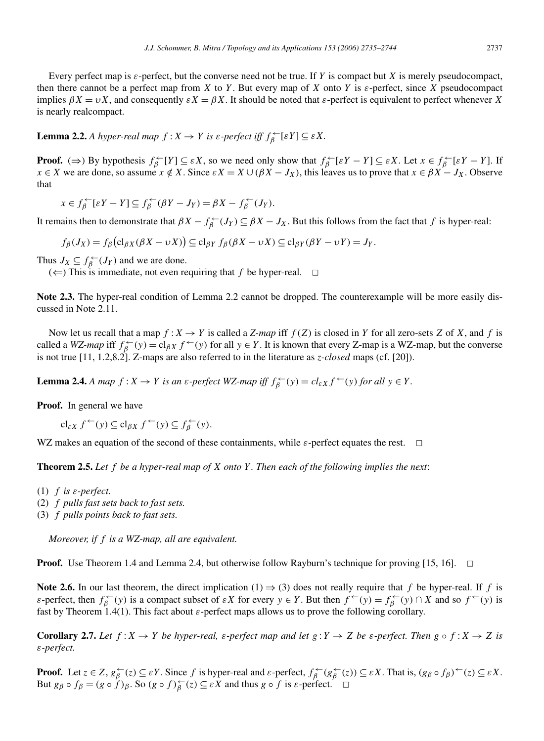Every perfect map is  $\varepsilon$ -perfect, but the converse need not be true. If *Y* is compact but *X* is merely pseudocompact, then there cannot be a perfect map from *X* to *Y*. But every map of *X* onto *Y* is  $\varepsilon$ -perfect, since *X* pseudocompact implies  $\beta X = vX$ , and consequently  $\epsilon X = \beta X$ . It should be noted that *ε*-perfect is equivalent to perfect whenever *X* is nearly realcompact.

**Lemma 2.2.** *A hyper-real map f* : *X* → *Y is ε-perfect iff*  $f<sub>β</sub><sup>+</sup>$  [ε*Y*] ⊆ *εX.* 

**Proof.** ( $\Rightarrow$ ) By hypothesis  $f_{\beta}^{\leftarrow}[Y] \subseteq \varepsilon X$ , so we need only show that  $f_{\beta}^{\leftarrow}[\varepsilon Y - Y] \subseteq \varepsilon X$ . Let  $x \in f_{\beta}^{\leftarrow}[\varepsilon Y - Y]$ . If  $x \in X$  we are done, so assume  $x \notin X$ . Since  $\varepsilon X = X \cup (\beta X - J_X)$ , this leaves us to prove that  $x \in \beta X - J_X$ . Observe that

 $x \in f_{\beta}^{\leftarrow}[\varepsilon Y - Y] \subseteq f_{\beta}^{\leftarrow}(\beta Y - J_Y) = \beta X - f_{\beta}^{\leftarrow}(J_Y).$ 

It remains then to demonstrate that  $\beta X - f_{\beta}^{\leftarrow}(J_Y) \subseteq \beta X - J_X$ . But this follows from the fact that *f* is hyper-real:

$$
f_{\beta}(J_X) = f_{\beta}(\mathbf{c} |_{\beta X}(\beta X - \nu X)) \subseteq \mathbf{c} |_{\beta Y} f_{\beta}(\beta X - \nu X) \subseteq \mathbf{c} |_{\beta Y}(\beta Y - \nu Y) = J_Y.
$$

Thus  $J_X \subseteq f_{\beta}^{\leftarrow}(J_Y)$  and we are done.

 $(\Leftarrow)$  This is immediate, not even requiring that *f* be hyper-real.  $\Box$ 

**Note 2.3.** The hyper-real condition of Lemma 2.2 cannot be dropped. The counterexample will be more easily discussed in Note 2.11.

Now let us recall that a map  $f: X \to Y$  is called a *Z-map* iff  $f(Z)$  is closed in *Y* for all zero-sets *Z* of *X*, and *f* is called a *WZ-map* iff  $f_{\beta}^{\leftarrow}(y) = cl_{\beta X} f^{\leftarrow}(y)$  for all  $y \in Y$ . It is known that every Z-map is a WZ-map, but the converse is not true [11, 1.2,8.2]. Z-maps are also referred to in the literature as *z-closed* maps (cf. [20]).

**Lemma 2.4.** *A map*  $f: X \to Y$  *is an ε-perfect WZ-map iff*  $f_{\beta}^{\leftarrow}(y) = cl_{\varepsilon X} f^{\leftarrow}(y)$  *for all*  $y \in Y$ .

**Proof.** In general we have

 $cl_{\varepsilon X} f^{\leftarrow}(y) \subseteq cl_{\beta X} f^{\leftarrow}(y) \subseteq f_{\beta}^{\leftarrow}(y).$ 

WZ makes an equation of the second of these containments, while  $\varepsilon$ -perfect equates the rest.  $\Box$ 

**Theorem 2.5.** *Let f be a hyper-real map of X onto Y . Then each of the following implies the next*:

- (1) *f is ε-perfect.*
- (2) *f pulls fast sets back to fast sets.*
- (3) *f pulls points back to fast sets.*

*Moreover, if f is a WZ-map, all are equivalent.*

**Proof.** Use Theorem 1.4 and Lemma 2.4, but otherwise follow Rayburn's technique for proving [15, 16].  $\Box$ 

**Note 2.6.** In our last theorem, the direct implication (1)  $\Rightarrow$  (3) does not really require that *f* be hyper-real. If *f* is *ε*-perfect, then  $f_{\beta}^{\leftarrow}(y)$  is a compact subset of *εX* for every  $y \in Y$ . But then  $f^{\leftarrow}(y) = f_{\beta}^{\leftarrow}(y) \cap X$  and so  $f^{\leftarrow}(y)$  is fast by Theorem 1.4(1). This fact about *ε*-perfect maps allows us to prove the following corollary.

**Corollary 2.7.** Let  $f: X \to Y$  be hyper-real,  $\varepsilon$ -perfect map and let  $g: Y \to Z$  be  $\varepsilon$ -perfect. Then  $g \circ f: X \to Z$  is *ε-perfect.*

**Proof.** Let  $z \in Z$ ,  $g_{\beta}^{\leftarrow}(z) \subseteq \varepsilon Y$ . Since f is hyper-real and  $\varepsilon$ -perfect,  $f_{\beta}^{\leftarrow}(g_{\beta}^{\leftarrow}(z)) \subseteq \varepsilon X$ . That is,  $(g_{\beta} \circ f_{\beta})^{\leftarrow}(z) \subseteq \varepsilon X$ . But  $g_\beta \circ f_\beta = (g \circ f)_\beta$ . So  $(g \circ f)_\beta^{\leftarrow}(z) \subseteq \varepsilon X$  and thus  $g \circ f$  is  $\varepsilon$ -perfect.  $\Box$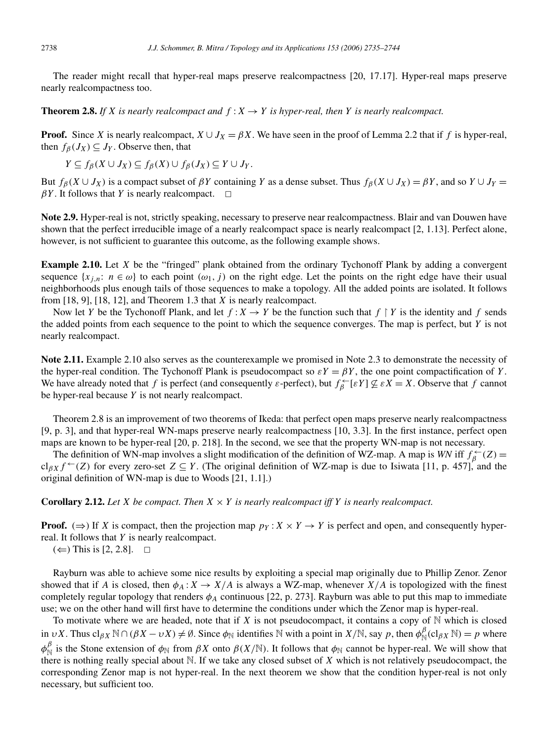The reader might recall that hyper-real maps preserve realcompactness [20, 17.17]. Hyper-real maps preserve nearly realcompactness too.

**Theorem 2.8.** If X is nearly realcompact and  $f: X \rightarrow Y$  is hyper-real, then Y is nearly realcompact.

**Proof.** Since *X* is nearly realcompact,  $X \cup J_X = \beta X$ . We have seen in the proof of Lemma 2.2 that if *f* is hyper-real, then  $f_\beta(J_X) \subseteq J_Y$ . Observe then, that

$$
Y \subseteq f_{\beta}(X \cup J_X) \subseteq f_{\beta}(X) \cup f_{\beta}(J_X) \subseteq Y \cup J_Y.
$$

But  $f_\beta$ ( $X \cup J_X$ ) is a compact subset of  $\beta Y$  containing *Y* as a dense subset. Thus  $f_\beta$ ( $X \cup J_X$ ) =  $\beta Y$ , and so  $Y \cup J_Y$  =  $\beta Y$ . It follows that *Y* is nearly realcompact.  $\Box$ 

**Note 2.9.** Hyper-real is not, strictly speaking, necessary to preserve near realcompactness. Blair and van Douwen have shown that the perfect irreducible image of a nearly realcompact space is nearly realcompact [2, 1.13]. Perfect alone, however, is not sufficient to guarantee this outcome, as the following example shows.

**Example 2.10.** Let *X* be the "fringed" plank obtained from the ordinary Tychonoff Plank by adding a convergent sequence  $\{x_{j,n}: n \in \omega\}$  to each point  $(\omega_1, j)$  on the right edge. Let the points on the right edge have their usual neighborhoods plus enough tails of those sequences to make a topology. All the added points are isolated. It follows from [18, 9], [18, 12], and Theorem 1.3 that *X* is nearly realcompact.

Now let *Y* be the Tychonoff Plank, and let  $f: X \to Y$  be the function such that  $f \restriction Y$  is the identity and  $f$  sends the added points from each sequence to the point to which the sequence converges. The map is perfect, but *Y* is not nearly realcompact.

**Note 2.11.** Example 2.10 also serves as the counterexample we promised in Note 2.3 to demonstrate the necessity of the hyper-real condition. The Tychonoff Plank is pseudocompact so  $\varepsilon Y = \beta Y$ , the one point compactification of *Y*. We have already noted that *f* is perfect (and consequently *ε*-perfect), but  $f_{\beta}^{\leftarrow}[\varepsilon Y] \not\subseteq \varepsilon X = X$ . Observe that *f* cannot be hyper-real because *Y* is not nearly realcompact.

Theorem 2.8 is an improvement of two theorems of Ikeda: that perfect open maps preserve nearly realcompactness [9, p. 3], and that hyper-real WN-maps preserve nearly realcompactness [10, 3.3]. In the first instance, perfect open maps are known to be hyper-real [20, p. 218]. In the second, we see that the property WN-map is not necessary.

The definition of WN-map involves a slight modification of the definition of WZ-map. A map is *WN* iff  $f_{\beta}^{\leftarrow}(Z)$  =  $cl_{\beta X} f^{\leftarrow}(Z)$  for every zero-set  $Z \subseteq Y$ . (The original definition of WZ-map is due to Isiwata [11, p. 457], and the original definition of WN-map is due to Woods [21, 1.1].)

**Corollary 2.12.** Let *X* be compact. Then  $X \times Y$  is nearly realcompact iff *Y* is nearly realcompact.

**Proof.** ( $\Rightarrow$ ) If *X* is compact, then the projection map  $p_Y$  :  $X \times Y \rightarrow Y$  is perfect and open, and consequently hyperreal. It follows that *Y* is nearly realcompact.

 $(\Leftarrow)$  This is [2, 2.8].  $\Box$ 

Rayburn was able to achieve some nice results by exploiting a special map originally due to Phillip Zenor. Zenor showed that if *A* is closed, then  $\phi_A : X \to X/A$  is always a WZ-map, whenever  $X/A$  is topologized with the finest completely regular topology that renders  $\phi_A$  continuous [22, p. 273]. Rayburn was able to put this map to immediate use; we on the other hand will first have to determine the conditions under which the Zenor map is hyper-real.

To motivate where we are headed, note that if  $X$  is not pseudocompact, it contains a copy of  $N$  which is closed in *υX*. Thus cl<sub>βX</sub>  $\mathbb{N} \cap (\beta X - \nu X) \neq \emptyset$ . Since  $\phi_{\mathbb{N}}$  identifies  $\mathbb{N}$  with a point in  $X/\mathbb{N}$ , say *p*, then  $\phi_{\mathbb{N}}^{\beta}(\text{cl}_{\beta X} \mathbb{N}) = p$  where  $φ$ <sup>β</sup> is the Stone extension of  $φ_N$  from *βX* onto  $β(X/N)$ . It follows that  $φ_N$  cannot be hyper-real. We will show that there is nothing really special about N. If we take any closed subset of *X* which is not relatively pseudocompact, the corresponding Zenor map is not hyper-real. In the next theorem we show that the condition hyper-real is not only necessary, but sufficient too.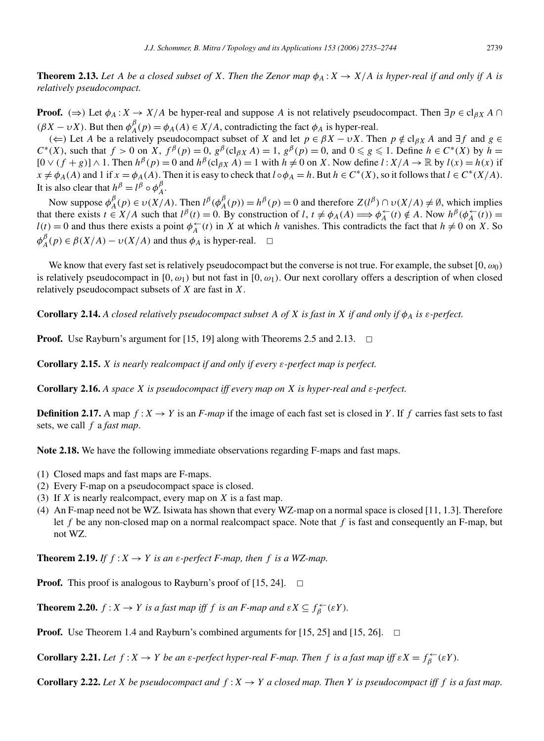**Theorem 2.13.** Let A be a closed subset of X. Then the Zenor map  $\phi_A : X \to X/A$  is hyper-real if and only if A is *relatively pseudocompact.*

**Proof.** ( $\Rightarrow$ ) Let  $\phi_A$ :  $X \rightarrow X/A$  be hyper-real and suppose *A* is not relatively pseudocompact. Then  $\exists p \in \text{cl}_{\beta X} A \cap$  $(\beta X - \nu X)$ . But then  $\phi_A^{\beta}(p) = \phi_A(A) \in X/A$ , contradicting the fact  $\phi_A$  is hyper-real.

(←) Let *A* be a relatively pseudocompact subset of *X* and let *p* ∈ *βX* − *υX*. Then *p* ∉ cl<sub>*βX*</sub> *A* and ∃*f* and *g* ∈ *C*<sup>∗</sup>(*X*), such that *f* > 0 on *X*,  $f^{\beta}(p) = 0$ ,  $g^{\beta}(c|_{\beta X}A) = 1$ ,  $g^{\beta}(p) = 0$ , and  $0 \le g \le 1$ . Define *h* ∈ *C*<sup>∗</sup>(*X*) by *h* =  $[0 \vee (f+g)] \wedge 1$ . Then  $h^{\beta}(p) = 0$  and  $h^{\beta}(c|_{\beta X}A) = 1$  with  $h \neq 0$  on *X*. Now define  $l: X/A \rightarrow \mathbb{R}$  by  $l(x) = h(x)$  if  $x \neq \phi_A(A)$  and 1 if  $x = \phi_A(A)$ . Then it is easy to check that  $l \circ \phi_A = h$ . But  $h \in C^*(X)$ , so it follows that  $l \in C^*(X/A)$ . It is also clear that  $h^{\beta} = l^{\beta} \circ \phi^{\beta}_A$ .

Now suppose  $\phi_A^{\beta}(p) \in \nu(X/A)$ . Then  $l^{\beta}(\phi_A^{\beta}(p)) = h^{\beta}(p) = 0$  and therefore  $Z(l^{\beta}) \cap \nu(X/A) \neq \emptyset$ , which implies that there exists  $t \in X/A$  such that  $l^{\beta}(t) = 0$ . By construction of  $l, t \neq \phi_A(A) \Longrightarrow \phi_A^{\leftarrow}(t) \notin A$ . Now  $h^{\beta}(\phi_A^{\leftarrow}(t)) =$  $l(t) = 0$  and thus there exists a point  $\phi_A^{\leftarrow}(t)$  in *X* at which *h* vanishes. This contradicts the fact that  $h \neq 0$  on *X*. So  $\phi_A^{\beta}(p) \in \beta(X/A) - \nu(X/A)$  and thus  $\phi_A$  is hyper-real.  $\Box$ 

We know that every fast set is relatively pseudocompact but the converse is not true. For example, the subset [0*,ω*0*)* is relatively pseudocompact in  $[0, \omega_1)$  but not fast in  $[0, \omega_1)$ . Our next corollary offers a description of when closed relatively pseudocompact subsets of *X* are fast in *X*.

**Corollary 2.14.** *A closed relatively pseudocompact subset A of X is fast in X if and only if*  $\phi_A$  *is ε*-perfect.

**Proof.** Use Rayburn's argument for [15, 19] along with Theorems 2.5 and 2.13.  $\Box$ 

**Corollary 2.15.** *X is nearly realcompact if and only if every ε-perfect map is perfect.*

**Corollary 2.16.** *A space X is pseudocompact iff every map on X is hyper-real and ε-perfect.*

**Definition 2.17.** A map  $f: X \to Y$  is an *F-map* if the image of each fast set is closed in *Y*. If *f* carries fast sets to fast sets, we call *f* a *fast map*.

**Note 2.18.** We have the following immediate observations regarding F-maps and fast maps.

- (1) Closed maps and fast maps are F-maps.
- (2) Every F-map on a pseudocompact space is closed.
- (3) If *X* is nearly realcompact, every map on *X* is a fast map.
- (4) An F-map need not be WZ. Isiwata has shown that every WZ-map on a normal space is closed [11, 1.3]. Therefore let *f* be any non-closed map on a normal realcompact space. Note that *f* is fast and consequently an F-map, but not WZ.

**Theorem 2.19.** *If*  $f : X \to Y$  *is an*  $\varepsilon$ *-perfect F-map, then*  $f$  *is a WZ-map.* 

**Proof.** This proof is analogous to Rayburn's proof of  $[15, 24]$ .  $\Box$ 

**Theorem 2.20.**  $f: X \to Y$  is a fast map iff  $f$  is an  $F$ -map and  $\epsilon X \subseteq f_{\beta}^{\leftarrow}(\epsilon Y)$ .

**Proof.** Use Theorem 1.4 and Rayburn's combined arguments for [15, 25] and [15, 26].  $\Box$ 

**Corollary 2.21.** Let  $f: X \to Y$  be an  $\varepsilon$ -perfect hyper-real *F*-map. Then  $f$  is a fast map iff  $\varepsilon X = f_{\beta}^{\leftarrow}(\varepsilon Y)$ .

**Corollary 2.22.** Let *X* be pseudocompact and  $f: X \to Y$  a closed map. Then *Y* is pseudocompact iff *f* is a fast map.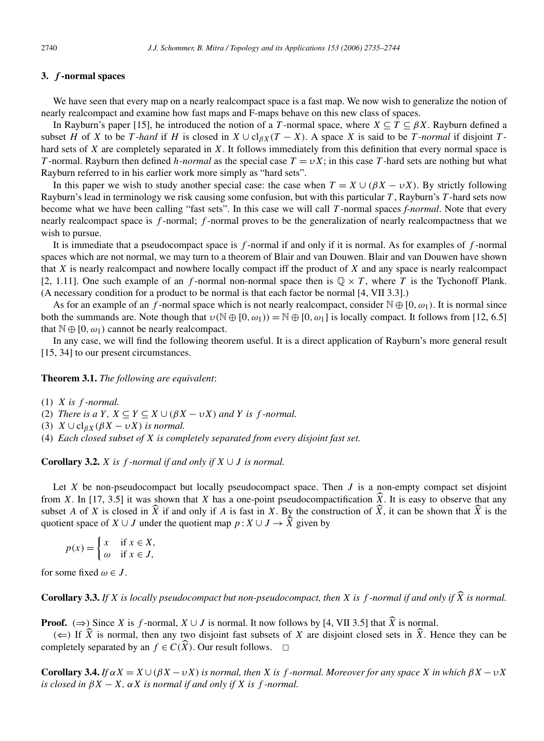# **3.** *f* **-normal spaces**

We have seen that every map on a nearly realcompact space is a fast map. We now wish to generalize the notion of nearly realcompact and examine how fast maps and F-maps behave on this new class of spaces.

In Rayburn's paper [15], he introduced the notion of a *T*-normal space, where  $X \subseteq T \subseteq \beta X$ . Rayburn defined a subset *H* of *X* to be *T -hard* if *H* is closed in  $X \cup cl_{\beta X}(T - X)$ . A space *X* is said to be *T -normal* if disjoint *T* hard sets of *X* are completely separated in *X*. It follows immediately from this definition that every normal space is *T* -normal. Rayburn then defined *h*-*normal* as the special case  $T = vX$ ; in this case *T*-hard sets are nothing but what Rayburn referred to in his earlier work more simply as "hard sets".

In this paper we wish to study another special case: the case when  $T = X \cup (\beta X - \nu X)$ . By strictly following Rayburn's lead in terminology we risk causing some confusion, but with this particular *T* , Rayburn's *T* -hard sets now become what we have been calling "fast sets". In this case we will call *T* -normal spaces *f-normal*. Note that every nearly realcompact space is *f* -normal; *f* -normal proves to be the generalization of nearly realcompactness that we wish to pursue.

It is immediate that a pseudocompact space is *f* -normal if and only if it is normal. As for examples of *f* -normal spaces which are not normal, we may turn to a theorem of Blair and van Douwen. Blair and van Douwen have shown that *X* is nearly realcompact and nowhere locally compact iff the product of *X* and any space is nearly realcompact [2, 1.11]. One such example of an *f*-normal non-normal space then is  $\mathbb{Q} \times T$ , where *T* is the Tychonoff Plank. (A necessary condition for a product to be normal is that each factor be normal [4, VII 3.3].)

As for an example of an *f*-normal space which is not nearly realcompact, consider  $\mathbb{N} \oplus [0, \omega_1)$ . It is normal since both the summands are. Note though that  $v(\mathbb{N} \oplus [0, \omega_1)) = \mathbb{N} \oplus [0, \omega_1]$  is locally compact. It follows from [12, 6.5] that  $\mathbb{N} \oplus [0, \omega_1)$  cannot be nearly realcompact.

In any case, we will find the following theorem useful. It is a direct application of Rayburn's more general result [15, 34] to our present circumstances.

**Theorem 3.1.** *The following are equivalent*:

(1) *X is f -normal.*

(2) *There is a*  $Y$ ,  $X \subseteq Y \subseteq X \cup (\beta X - \nu X)$  *and*  $Y$  *is*  $f$  *-normal.* 

(3)  $X \cup cl_{\beta X}(\beta X - \nu X)$  *is normal.* 

(4) *Each closed subset of X is completely separated from every disjoint fast set.*

**Corollary 3.2.** *X is*  $f$  *-normal if and only if*  $X \cup J$  *is normal.* 

Let *X* be non-pseudocompact but locally pseudocompact space. Then *J* is a non-empty compact set disjoint from *X*. In [17, 3.5] it was shown that *X* has a one-point pseudocompactification  $\hat{X}$ . It is easy to observe that any subset *A* of *X* is closed in  $\widehat{X}$  if and only if *A* is fast in *X*. By the construction of  $\widehat{X}$ , it can be shown that  $\widehat{X}$  is the quotient space of *X* ∪ *J* under the quotient map  $p: X \cup J \rightarrow \hat{X}$  given by

 $p(x) =$  $\int x$  if  $x \in X$ , *ω* if *x* ∈ *J,*

for some fixed  $\omega \in J$ .

**Corollary 3.3.** If  $X$  is locally pseudocompact but non-pseudocompact, then  $X$  is  $f$ -normal if and only if  $\widehat{X}$  is normal.

**Proof.**  $(\Rightarrow)$  Since *X* is *f*-normal, *X* ∪ *J* is normal. It now follows by [4, VII 3.5] that  $\hat{X}$  is normal.

 $(\Leftarrow)$  If  $\hat{X}$  is normal, then any two disjoint fast subsets of *X* are disjoint closed sets in  $\hat{X}$ . Hence they can be completely separated by an  $f \in C(\widehat{X})$ . Our result follows.  $\Box$ 

**Corollary 3.4.** *If αX* = *X* ∪*(βX* −*υX) is normal, then X is f -normal. Moreover for any space X in which βX* −*υX is closed in*  $\beta X - X$ ,  $\alpha X$  *is normal if and only if*  $X$  *is*  $f$  *-normal.*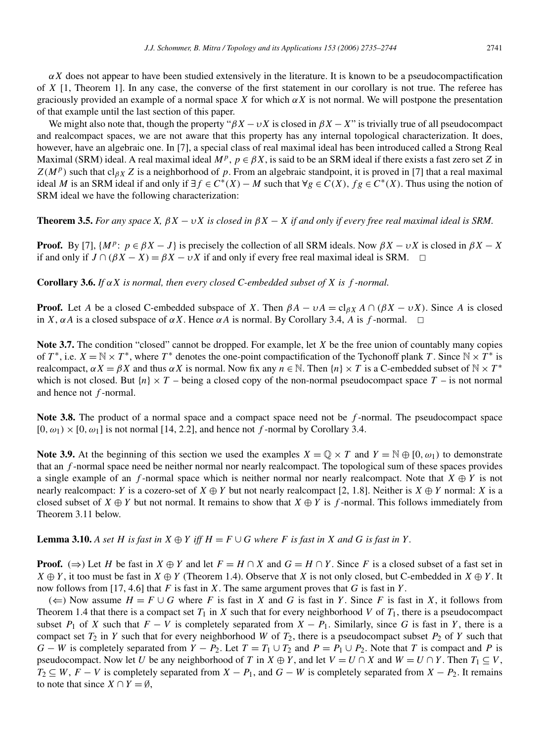$\alpha X$  does not appear to have been studied extensively in the literature. It is known to be a pseudocompactification of *X* [1, Theorem 1]. In any case, the converse of the first statement in our corollary is not true. The referee has graciously provided an example of a normal space *X* for which *αX* is not normal. We will postpone the presentation of that example until the last section of this paper.

We might also note that, though the property " $\beta X - \nu X$  is closed in  $\beta X - X$ " is trivially true of all pseudocompact and realcompact spaces, we are not aware that this property has any internal topological characterization. It does, however, have an algebraic one. In [7], a special class of real maximal ideal has been introduced called a Strong Real Maximal (SRM) ideal. A real maximal ideal  $M^p$ ,  $p \in \beta X$ , is said to be an SRM ideal if there exists a fast zero set *Z* in  $Z(M^p)$  such that cl<sub>*βX*</sub> *Z* is a neighborhood of *p*. From an algebraic standpoint, it is proved in [7] that a real maximal ideal *M* is an SRM ideal if and only if  $\exists f \in C^*(X) - M$  such that  $\forall g \in C(X)$ ,  $fg \in C^*(X)$ . Thus using the notion of SRM ideal we have the following characterization:

**Theorem 3.5.** *For any space X,*  $\beta X - \nu X$  *is closed in*  $\beta X - X$  *if and only if every free real maximal ideal is SRM.* 

**Proof.** By [7],  $\{M^p: p \in \beta X - J\}$  is precisely the collection of all SRM ideals. Now  $\beta X - \nu X$  is closed in  $\beta X - X$ if and only if  $J \cap (\beta X - X) = \beta X - \nu X$  if and only if every free real maximal ideal is SRM.  $\Box$ 

**Corollary 3.6.** *If αX is normal, then every closed C-embedded subset of X is f -normal.*

**Proof.** Let *A* be a closed C-embedded subspace of *X*. Then  $\beta A - vA = \text{cl}_{\beta X} A \cap (\beta X - vX)$ . Since *A* is closed in *X*,  $\alpha A$  is a closed subspace of  $\alpha X$ . Hence  $\alpha A$  is normal. By Corollary 3.4, *A* is *f*-normal.  $\Box$ 

**Note 3.7.** The condition "closed" cannot be dropped. For example, let *X* be the free union of countably many copies of *T*<sup>\*</sup>, i.e.  $X = \mathbb{N} \times T^*$ , where *T*<sup>\*</sup> denotes the one-point compactification of the Tychonoff plank *T*. Since  $\mathbb{N} \times T^*$  is realcompact,  $\alpha X = \beta X$  and thus  $\alpha X$  is normal. Now fix any  $n \in \mathbb{N}$ . Then  $\{n\} \times T$  is a C-embedded subset of  $\mathbb{N} \times T^*$ which is not closed. But  ${n \times T}$  – being a closed copy of the non-normal pseudocompact space  $T$  – is not normal and hence not *f* -normal.

**Note 3.8.** The product of a normal space and a compact space need not be *f* -normal. The pseudocompact space  $[0, \omega_1) \times [0, \omega_1]$  is not normal [14, 2.2], and hence not *f*-normal by Corollary 3.4.

**Note 3.9.** At the beginning of this section we used the examples  $X = \mathbb{Q} \times T$  and  $Y = \mathbb{N} \oplus [0, \omega_1)$  to demonstrate that an *f* -normal space need be neither normal nor nearly realcompact. The topological sum of these spaces provides a single example of an *f*-normal space which is neither normal nor nearly realcompact. Note that  $X \oplus Y$  is not nearly realcompact: *Y* is a cozero-set of  $X \oplus Y$  but not nearly realcompact [2, 1.8]. Neither is  $X \oplus Y$  normal: *X* is a closed subset of *X*  $\oplus$  *Y* but not normal. It remains to show that *X*  $\oplus$  *Y* is *f*-normal. This follows immediately from Theorem 3.11 below.

**Lemma 3.10.** A set H is fast in  $X \oplus Y$  iff  $H = F \cup G$  where F is fast in X and G is fast in Y.

**Proof.** ( $\Rightarrow$ ) Let *H* be fast in *X*  $\oplus$  *Y* and let *F* = *H* ∩ *X* and *G* = *H* ∩ *Y*. Since *F* is a closed subset of a fast set in  $X \oplus Y$ , it too must be fast in  $X \oplus Y$  (Theorem 1.4). Observe that *X* is not only closed, but C-embedded in  $X \oplus Y$ . It now follows from [17, 4.6] that *F* is fast in *X*. The same argument proves that *G* is fast in *Y* .

(←) Now assume  $H = F \cup G$  where *F* is fast in *X* and *G* is fast in *Y*. Since *F* is fast in *X*, it follows from Theorem 1.4 that there is a compact set  $T_1$  in  $X$  such that for every neighborhood  $V$  of  $T_1$ , there is a pseudocompact subset  $P_1$  of *X* such that  $F - V$  is completely separated from  $X - P_1$ . Similarly, since *G* is fast in *Y*, there is a compact set  $T_2$  in *Y* such that for every neighborhood *W* of  $T_2$ , there is a pseudocompact subset  $P_2$  of *Y* such that *G* − *W* is completely separated from *Y* − *P*<sub>2</sub>. Let *T* = *T*<sub>1</sub> ∪ *T*<sub>2</sub> and *P* = *P*<sub>1</sub> ∪ *P*<sub>2</sub>. Note that *T* is compact and *P* is pseudocompact. Now let *U* be any neighborhood of *T* in  $X \oplus Y$ , and let  $V = U \cap X$  and  $W = U \cap Y$ . Then  $T_1 \subseteq V$ ,  $T_2 \subseteq W$ ,  $F - V$  is completely separated from  $X - P_1$ , and  $G - W$  is completely separated from  $X - P_2$ . It remains to note that since  $X \cap Y = \emptyset$ .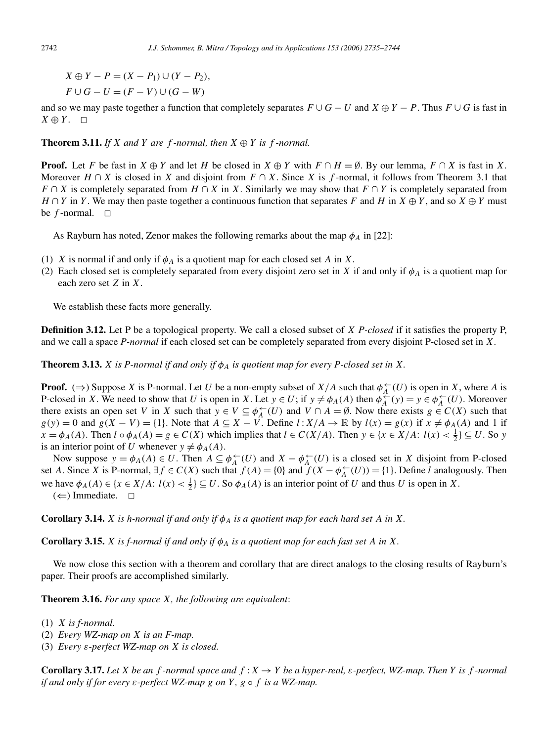*X* ⊕ *Y* − *P* =  $(X - P_1)$  ∪  $(Y - P_2)$ ,  $F \cup G - U = (F - V) \cup (G - W)$ 

and so we may paste together a function that completely separates  $F \cup G - U$  and  $X \oplus Y - P$ . Thus  $F \cup G$  is fast in  $X \oplus Y$ .  $\Box$ 

**Theorem 3.11.** *If*  $X$  *and*  $Y$  *are*  $f$  *-normal, then*  $X \oplus Y$  *is*  $f$  *-normal.* 

**Proof.** Let *F* be fast in *X* ⊕ *Y* and let *H* be closed in *X* ⊕ *Y* with  $F \cap H = \emptyset$ . By our lemma,  $F \cap X$  is fast in *X*. Moreover  $H \cap X$  is closed in *X* and disjoint from  $F \cap X$ . Since *X* is *f*-normal, it follows from Theorem 3.1 that  $F \cap X$  is completely separated from  $H \cap X$  in *X*. Similarly we may show that  $F \cap Y$  is completely separated from  $H \cap Y$  in *Y*. We may then paste together a continuous function that separates *F* and *H* in  $X \oplus Y$ , and so  $X \oplus Y$  must be  $f$ -normal.  $\Box$ 

As Rayburn has noted, Zenor makes the following remarks about the map  $\phi_A$  in [22]:

- (1) *X* is normal if and only if  $\phi_A$  is a quotient map for each closed set *A* in *X*.
- (2) Each closed set is completely separated from every disjoint zero set in *X* if and only if  $\phi_A$  is a quotient map for each zero set *Z* in *X*.

We establish these facts more generally.

**Definition 3.12.** Let P be a topological property. We call a closed subset of *X P-closed* if it satisfies the property P, and we call a space *P-normal* if each closed set can be completely separated from every disjoint P-closed set in *X*.

**Theorem 3.13.** *X is P-normal if and only if*  $\phi_A$  *is quotient map for every P-closed set in X.* 

**Proof.** ( $\Rightarrow$ ) Suppose *X* is P-normal. Let *U* be a non-empty subset of *X/A* such that  $\phi_A^{\leftarrow}(U)$  is open in *X*, where *A* is P-closed in *X*. We need to show that *U* is open in *X*. Let  $y \in U$ ; if  $y \neq \phi_A(A)$  then  $\phi_A^{\leftarrow}(y) = y \in \phi_A^{\leftarrow}(U)$ . Moreover there exists an open set *V* in *X* such that  $y \in V \subseteq \phi_A^{\leftarrow}(U)$  and  $V \cap A = \emptyset$ . Now there exists  $g \in C(X)$  such that *g(y)* = 0 and *g(X – V)* = {1}. Note that  $A \subseteq X - V$ . Define  $l: X/A \to \mathbb{R}$  by  $l(x) = g(x)$  if  $x \neq \phi_A(A)$  and 1 if  $x = \phi_A(A)$ . Then  $l \circ \phi_A(A) = g \in C(X)$  which implies that  $l \in C(X/A)$ . Then  $y \in \{x \in X/A: l(x) < \frac{1}{2}\} \subseteq U$ . So *y* is an interior point of *U* whenever  $y \neq \phi_A(A)$ .

Now suppose  $y = \phi_A(A) \in U$ . Then  $A \subseteq \phi_A^{\leftarrow}(U)$  and  $X - \phi_A^{\leftarrow}(U)$  is a closed set in *X* disjoint from P-closed set *A*. Since *X* is P-normal,  $\exists f \in C(X)$  such that  $f(A) = \{0\}$  and  $f'(X - \phi_A^{\leftarrow}(U)) = \{1\}$ . Define *l* analogously. Then we have  $\phi_A(A) \in \{x \in X/A: l(x) < \frac{1}{2}\} \subseteq U$ . So  $\phi_A(A)$  is an interior point of *U* and thus *U* is open in *X*.  $(\Leftarrow)$  Immediate.  $\Box$ 

**Corollary 3.14.** *X is h-normal if and only if*  $\phi_A$  *is a quotient map for each hard set A in X.* 

**Corollary 3.15.** *X is f-normal if and only if*  $\phi_A$  *is a quotient map for each fast set A in X.* 

We now close this section with a theorem and corollary that are direct analogs to the closing results of Rayburn's paper. Their proofs are accomplished similarly.

**Theorem 3.16.** *For any space X, the following are equivalent*:

- (1) *X is f-normal.*
- (2) *Every WZ-map on X is an F-map.*
- (3) *Every ε-perfect WZ-map on X is closed.*

**Corollary 3.17.** Let *X* be an *f* -normal space and  $f: X \to Y$  be a hyper-real,  $\varepsilon$ -perfect, WZ-map. Then *Y* is *f* -normal *if and only if for every ε-perfect WZ-map g on Y , g* ◦ *f is a WZ-map.*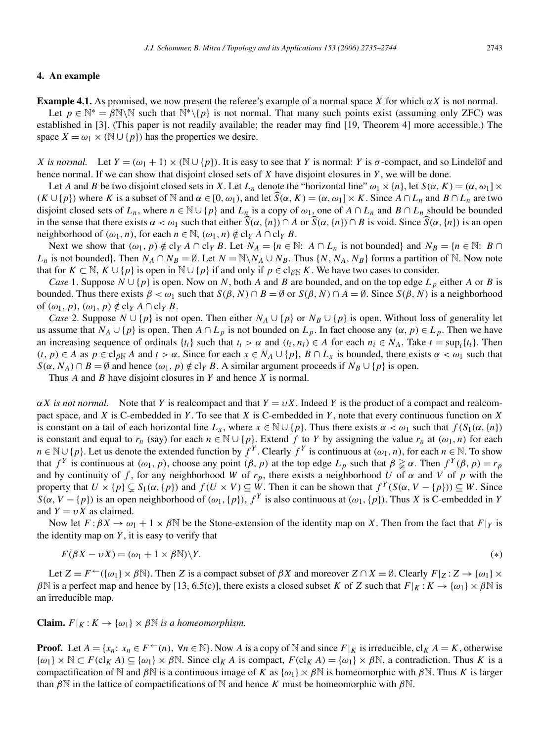#### **4. An example**

Let  $p \in \mathbb{N}^* = \beta \mathbb{N} \setminus \mathbb{N}$  such that  $\mathbb{N}^* \setminus \{p\}$  is not normal. That many such points exist (assuming only ZFC) was established in [3]. (This paper is not readily available; the reader may find [19, Theorem 4] more accessible.) The space  $X = \omega_1 \times (\mathbb{N} \cup \{p\})$  has the properties we desire.

*X is normal.* Let  $Y = (\omega_1 + 1) \times (\mathbb{N} \cup \{p\})$ . It is easy to see that *Y* is normal: *Y* is  $\sigma$ -compact, and so Lindelöf and hence normal. If we can show that disjoint closed sets of *X* have disjoint closures in *Y* , we will be done.

Let *A* and *B* be two disjoint closed sets in *X*. Let  $L_n$  denote the "horizontal line"  $\omega_1 \times \{n\}$ , let  $S(\alpha, K) = (\alpha, \omega_1] \times$  $(K \cup \{p\})$  where *K* is a subset of  $N$  and  $\alpha \in [0, \omega_1)$ , and let  $\widehat{S}(\alpha, K) = (\alpha, \omega_1] \times K$ . Since  $A \cap L_n$  and  $B \cap L_n$  are two disjoint closed sets of  $L_n$ , where  $n \in \mathbb{N} \cup \{p\}$  and  $L_n$  is a copy of  $\omega_1$ , one of  $A \cap L_n$  and  $B \cap L_n$  should be bounded in the sense that there exists  $\alpha < \omega_1$  such that either  $\widehat{S}(\alpha, \{n\}) \cap A$  or  $\widehat{S}(\alpha, \{n\}) \cap B$  is void. Since  $\widehat{S}(\alpha, \{n\})$  is an open neighborhood of  $(\omega_1, n)$ , for each  $n \in \mathbb{N}$ ,  $(\omega_1, n) \notin \text{cl}_Y A \cap \text{cl}_Y B$ .

Next we show that  $(\omega_1, p) \notin \text{cl}_Y A \cap \text{cl}_Y B$ . Let  $N_A = \{n \in \mathbb{N}: A \cap L_n \text{ is not bounded} \}$  and  $N_B = \{n \in \mathbb{N}: B \cap L_m \}$ *L<sub>n</sub>* is not bounded}. Then  $N_A \cap N_B = \emptyset$ . Let  $N = \mathbb{N} \setminus N_A \cup N_B$ . Thus  $\{N, N_A, N_B\}$  forms a partition of  $\mathbb{N}$ . Now note that for  $K \subset \mathbb{N}$ ,  $K \cup \{p\}$  is open in  $\mathbb{N} \cup \{p\}$  if and only if  $p \in \text{cl}_{\beta\mathbb{N}} K$ . We have two cases to consider.

*Case* 1. Suppose  $N \cup \{p\}$  is open. Now on *N*, both *A* and *B* are bounded, and on the top edge  $L_p$  either *A* or *B* is bounded. Thus there exists  $β < ω_1$  such that  $S(β, N) ∩ B = ∅$  or  $S(β, N) ∩ A = ∅$ . Since  $S(β, N)$  is a neighborhood of  $(\omega_1, p), (\omega_1, p) \notin \text{cl}_Y A \cap \text{cl}_Y B$ .

*Case* 2. Suppose  $N \cup \{p\}$  is not open. Then either  $N_A \cup \{p\}$  or  $N_B \cup \{p\}$  is open. Without loss of generality let us assume that  $N_A \cup \{p\}$  is open. Then  $A \cap L_p$  is not bounded on  $L_p$ . In fact choose any  $(\alpha, p) \in L_p$ . Then we have an increasing sequence of ordinals  $\{t_i\}$  such that  $t_i > \alpha$  and  $(t_i, n_i) \in A$  for each  $n_i \in N_A$ . Take  $t = \sup_i \{t_i\}$ . Then  $(t, p) \in A$  as  $p \in cl_{\beta N} A$  and  $t > \alpha$ . Since for each  $x \in N_A \cup \{p\}$ ,  $B \cap L_x$  is bounded, there exists  $\alpha < \omega_1$  such that  $S(\alpha, N_A) \cap B = \emptyset$  and hence  $(\omega_1, p) \notin \text{cl}_Y B$ . A similar argument proceeds if  $N_B \cup \{p\}$  is open.

Thus *A* and *B* have disjoint closures in *Y* and hence *X* is normal.

*αX is not normal.* Note that *Y* is realcompact and that  $Y = vX$ . Indeed *Y* is the product of a compact and realcompact space, and *X* is C-embedded in *Y* . To see that *X* is C-embedded in *Y* , note that every continuous function on *X* is constant on a tail of each horizontal line  $L_x$ , where  $x \in \mathbb{N} \cup \{p\}$ . Thus there exists  $\alpha < \omega_1$  such that  $f(S_1(\alpha, \{n\}))$ is constant and equal to  $r_n$  (say) for each  $n \in \mathbb{N} \cup \{p\}$ . Extend  $f$  to  $Y$  by assigning the value  $r_n$  at  $(\omega_1, n)$  for each *n* ∈ N∪{*p*}. Let us denote the extended function by  $f^Y$ . Clearly  $f^Y$  is continuous at  $(\omega_1, n)$ , for each *n* ∈ N. To show that  $f^Y$  is continuous at  $(\omega_1, p)$ , choose any point  $(\beta, p)$  at the top edge  $L_p$  such that  $\beta \geq \alpha$ . Then  $f^Y(\beta, p) = r_p$ and by continuity of f, for any neighborhood W of  $r_p$ , there exists a neighborhood U of  $\alpha$  and V of  $p$  with the property that  $U \times \{p\} \subsetneq S_1(\alpha, \{p\})$  and  $f(U \times V) \subseteq W$ . Then it can be shown that  $f^Y(S(\alpha, V - \{p\})) \subseteq W$ . Since  $S(\alpha, V - \{p\})$  is an open neighborhood of  $(\omega_1, \{p\})$ ,  $f^Y$  is also continuous at  $(\omega_1, \{p\})$ . Thus *X* is C-embedded in *Y* and  $Y = vX$  as claimed.

Now let  $F: \beta X \to \omega_1 + 1 \times \beta N$  be the Stone-extension of the identity map on *X*. Then from the fact that  $F|_Y$  is the identity map on *Y* , it is easy to verify that

$$
F(\beta X - \nu X) = (\omega_1 + 1 \times \beta \mathbb{N}) \backslash Y. \tag{*}
$$

Let  $Z = F \leftarrow (\{\omega_1\} \times \beta \mathbb{N})$ . Then *Z* is a compact subset of  $\beta X$  and moreover  $Z \cap X = \emptyset$ . Clearly  $F|_Z : Z \to \{\omega_1\} \times$ *β*N is a perfect map and hence by [13, 6.5(c)], there exists a closed subset *K* of *Z* such that  $F|_K : K \to \{\omega_1\} \times \beta \mathbb{N}$  is an irreducible map.

**Claim.**  $F|_K : K \to \{\omega_1\} \times \beta \mathbb{N}$  *is a homeomorphism.* 

**Proof.** Let  $A = \{x_n : x_n \in F^{\leftarrow}(n), \forall n \in \mathbb{N}\}\$ . Now *A* is a copy of N and since  $F|_K$  is irreducible, cl<sub>K</sub>  $A = K$ , otherwise  $\{\omega_1\} \times \mathbb{N} \subset F(\mathcal{C}|_K A) \subseteq \{\omega_1\} \times \beta \mathbb{N}$ . Since  $\mathcal{C}|_K A$  is compact,  $F(\mathcal{C}|_K A) = \{\omega_1\} \times \beta \mathbb{N}$ , a contradiction. Thus *K* is a compactification of N and  $\beta$ N is a continuous image of *K* as  $\{\omega_1\} \times \beta$ N is homeomorphic with  $\beta$ N. Thus *K* is larger than  $\beta$ N in the lattice of compactifications of N and hence *K* must be homeomorphic with  $\beta$ N.